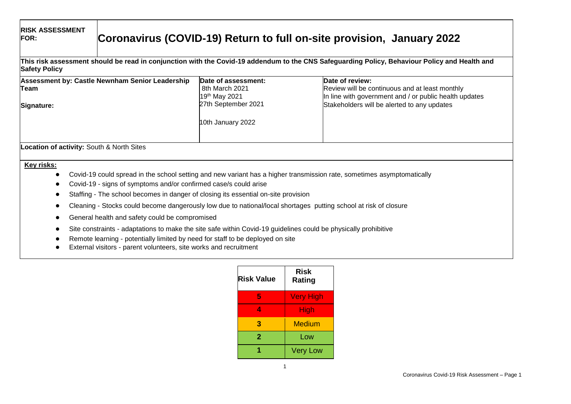| <b>RISK ASSESSMENT</b><br><b>FOR:</b>     | Coronavirus (COVID-19) Return to full on-site provision, January 2022                                                                                                                                                                                                  |                                                                               |                                                                                                                                                                            |  |
|-------------------------------------------|------------------------------------------------------------------------------------------------------------------------------------------------------------------------------------------------------------------------------------------------------------------------|-------------------------------------------------------------------------------|----------------------------------------------------------------------------------------------------------------------------------------------------------------------------|--|
| <b>Safety Policy</b>                      |                                                                                                                                                                                                                                                                        |                                                                               | This risk assessment should be read in conjunction with the Covid-19 addendum to the CNS Safeguarding Policy, Behaviour Policy and Health and                              |  |
| Team<br>Signature:                        | Assessment by: Castle Newnham Senior Leadership                                                                                                                                                                                                                        | Date of assessment:<br>8th March 2021<br>19th May 2021<br>27th September 2021 | Date of review:<br>Review will be continuous and at least monthly<br>In line with government and / or public health updates<br>Stakeholders will be alerted to any updates |  |
|                                           |                                                                                                                                                                                                                                                                        | 10th January 2022                                                             |                                                                                                                                                                            |  |
| Location of activity: South & North Sites |                                                                                                                                                                                                                                                                        |                                                                               |                                                                                                                                                                            |  |
| Key risks:                                | Covid-19 - signs of symptoms and/or confirmed case/s could arise<br>Staffing - The school becomes in danger of closing its essential on-site provision                                                                                                                 |                                                                               | Covid-19 could spread in the school setting and new variant has a higher transmission rate, sometimes asymptomatically                                                     |  |
|                                           |                                                                                                                                                                                                                                                                        |                                                                               | Cleaning - Stocks could become dangerously low due to national/local shortages putting school at risk of closure                                                           |  |
|                                           | General health and safety could be compromised                                                                                                                                                                                                                         |                                                                               |                                                                                                                                                                            |  |
|                                           | Site constraints - adaptations to make the site safe within Covid-19 guidelines could be physically prohibitive<br>Remote learning - potentially limited by need for staff to be deployed on site<br>External visitors - parent volunteers, site works and recruitment |                                                                               |                                                                                                                                                                            |  |

| <b>Risk Value</b> | Risk<br>Rating   |
|-------------------|------------------|
| 5                 | <b>Very High</b> |
| Λ                 | High             |
| 3                 | Medium           |
| $\mathbf{2}$      | Low              |
|                   | <b>Very Low</b>  |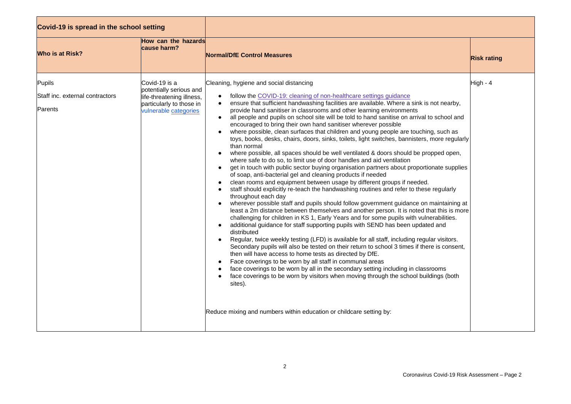| Covid-19 is spread in the school setting             |                                                                                                                            |                                                                                                                                                                                                                                                                                                                                                                                                                                                                                                                                                                                                                                                                                                                                                                                                                                                                                                                                                                                                                                                                                                                                                                                                                                                                                                                                                                                                                                                                                                                                                                                                                                                                                                                                                                                                                                                                                                                                                                                                                                                                                                                                                                                                                                                                                                       |                    |
|------------------------------------------------------|----------------------------------------------------------------------------------------------------------------------------|-------------------------------------------------------------------------------------------------------------------------------------------------------------------------------------------------------------------------------------------------------------------------------------------------------------------------------------------------------------------------------------------------------------------------------------------------------------------------------------------------------------------------------------------------------------------------------------------------------------------------------------------------------------------------------------------------------------------------------------------------------------------------------------------------------------------------------------------------------------------------------------------------------------------------------------------------------------------------------------------------------------------------------------------------------------------------------------------------------------------------------------------------------------------------------------------------------------------------------------------------------------------------------------------------------------------------------------------------------------------------------------------------------------------------------------------------------------------------------------------------------------------------------------------------------------------------------------------------------------------------------------------------------------------------------------------------------------------------------------------------------------------------------------------------------------------------------------------------------------------------------------------------------------------------------------------------------------------------------------------------------------------------------------------------------------------------------------------------------------------------------------------------------------------------------------------------------------------------------------------------------------------------------------------------------|--------------------|
| <b>Who is at Risk?</b>                               | How can the hazards<br>cause harm?                                                                                         | <b>Normal/DfE Control Measures</b>                                                                                                                                                                                                                                                                                                                                                                                                                                                                                                                                                                                                                                                                                                                                                                                                                                                                                                                                                                                                                                                                                                                                                                                                                                                                                                                                                                                                                                                                                                                                                                                                                                                                                                                                                                                                                                                                                                                                                                                                                                                                                                                                                                                                                                                                    | <b>Risk rating</b> |
| Pupils<br>Staff inc. external contractors<br>Parents | Covid-19 is a<br>potentially serious and<br>life-threatening illness,<br>particularly to those in<br>vulnerable categories | Cleaning, hygiene and social distancing<br>follow the COVID-19: cleaning of non-healthcare settings guidance<br>ensure that sufficient handwashing facilities are available. Where a sink is not nearby,<br>$\bullet$<br>provide hand sanitiser in classrooms and other learning environments<br>all people and pupils on school site will be told to hand sanitise on arrival to school and<br>$\bullet$<br>encouraged to bring their own hand sanitiser wherever possible<br>where possible, clean surfaces that children and young people are touching, such as<br>toys, books, desks, chairs, doors, sinks, toilets, light switches, bannisters, more regularly<br>than normal<br>where possible, all spaces should be well ventilated & doors should be propped open,<br>$\bullet$<br>where safe to do so, to limit use of door handles and aid ventilation<br>get in touch with public sector buying organisation partners about proportionate supplies<br>$\bullet$<br>of soap, anti-bacterial gel and cleaning products if needed<br>clean rooms and equipment between usage by different groups if needed.<br>$\bullet$<br>staff should explicitly re-teach the handwashing routines and refer to these regularly<br>$\bullet$<br>throughout each day<br>wherever possible staff and pupils should follow government guidance on maintaining at<br>least a 2m distance between themselves and another person. It is noted that this is more<br>challenging for children in KS 1, Early Years and for some pupils with vulnerabilities.<br>additional guidance for staff supporting pupils with SEND has been updated and<br>$\bullet$<br>distributed<br>Regular, twice weekly testing (LFD) is available for all staff, including regular visitors.<br>$\bullet$<br>Secondary pupils will also be tested on their return to school 3 times if there is consent,<br>then will have access to home tests as directed by DfE.<br>Face coverings to be worn by all staff in communal areas<br>$\bullet$<br>face coverings to be worn by all in the secondary setting including in classrooms<br>$\bullet$<br>face coverings to be worn by visitors when moving through the school buildings (both<br>$\bullet$<br>sites).<br>Reduce mixing and numbers within education or childcare setting by: | High - 4           |

 $\overline{a}$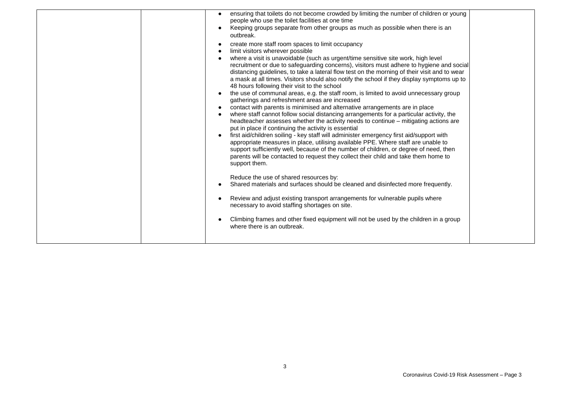| ensuring that toilets do not become crowded by limiting the number of children or young<br>people who use the toilet facilities at one time<br>Keeping groups separate from other groups as much as possible when there is an<br>outbreak.<br>create more staff room spaces to limit occupancy<br>limit visitors wherever possible<br>where a visit is unavoidable (such as urgent/time sensitive site work, high level<br>recruitment or due to safeguarding concerns), visitors must adhere to hygiene and social<br>distancing guidelines, to take a lateral flow test on the morning of their visit and to wear<br>a mask at all times. Visitors should also notify the school if they display symptoms up to<br>48 hours following their visit to the school<br>the use of communal areas, e.g. the staff room, is limited to avoid unnecessary group<br>gatherings and refreshment areas are increased<br>contact with parents is minimised and alternative arrangements are in place<br>where staff cannot follow social distancing arrangements for a particular activity, the<br>headteacher assesses whether the activity needs to continue – mitigating actions are<br>put in place if continuing the activity is essential<br>first aid/children soiling - key staff will administer emergency first aid/support with<br>appropriate measures in place, utilising available PPE. Where staff are unable to<br>support sufficiently well, because of the number of children, or degree of need, then<br>parents will be contacted to request they collect their child and take them home to<br>support them.<br>Reduce the use of shared resources by:<br>Shared materials and surfaces should be cleaned and disinfected more frequently.<br>Review and adjust existing transport arrangements for vulnerable pupils where<br>necessary to avoid staffing shortages on site.<br>Climbing frames and other fixed equipment will not be used by the children in a group |                             |  |
|-----------------------------------------------------------------------------------------------------------------------------------------------------------------------------------------------------------------------------------------------------------------------------------------------------------------------------------------------------------------------------------------------------------------------------------------------------------------------------------------------------------------------------------------------------------------------------------------------------------------------------------------------------------------------------------------------------------------------------------------------------------------------------------------------------------------------------------------------------------------------------------------------------------------------------------------------------------------------------------------------------------------------------------------------------------------------------------------------------------------------------------------------------------------------------------------------------------------------------------------------------------------------------------------------------------------------------------------------------------------------------------------------------------------------------------------------------------------------------------------------------------------------------------------------------------------------------------------------------------------------------------------------------------------------------------------------------------------------------------------------------------------------------------------------------------------------------------------------------------------------------------------------------------------------------------------------------------------------------------|-----------------------------|--|
|                                                                                                                                                                                                                                                                                                                                                                                                                                                                                                                                                                                                                                                                                                                                                                                                                                                                                                                                                                                                                                                                                                                                                                                                                                                                                                                                                                                                                                                                                                                                                                                                                                                                                                                                                                                                                                                                                                                                                                                   | where there is an outbreak. |  |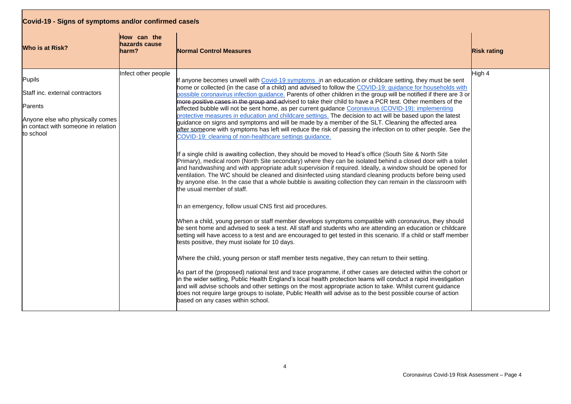| Covid-19 - Signs of symptoms and/or confirmed case/s                                                                                          |                                       |                                                                                                                                                                                                                                                                                                                                                                                                                                                                                                                                                                                                                                                                                                                                                                                                                                                                                                                                                                                                                                                                                                                                                                                                                                                                                                                                                                                                                                                                                                                                                                                                                                                                                                                                                                                                                                                                                                                                                                                                                                                                                                                                                                                                                                                                                                                                                                                                                                                                                                                                                                                                                                       |                    |  |
|-----------------------------------------------------------------------------------------------------------------------------------------------|---------------------------------------|---------------------------------------------------------------------------------------------------------------------------------------------------------------------------------------------------------------------------------------------------------------------------------------------------------------------------------------------------------------------------------------------------------------------------------------------------------------------------------------------------------------------------------------------------------------------------------------------------------------------------------------------------------------------------------------------------------------------------------------------------------------------------------------------------------------------------------------------------------------------------------------------------------------------------------------------------------------------------------------------------------------------------------------------------------------------------------------------------------------------------------------------------------------------------------------------------------------------------------------------------------------------------------------------------------------------------------------------------------------------------------------------------------------------------------------------------------------------------------------------------------------------------------------------------------------------------------------------------------------------------------------------------------------------------------------------------------------------------------------------------------------------------------------------------------------------------------------------------------------------------------------------------------------------------------------------------------------------------------------------------------------------------------------------------------------------------------------------------------------------------------------------------------------------------------------------------------------------------------------------------------------------------------------------------------------------------------------------------------------------------------------------------------------------------------------------------------------------------------------------------------------------------------------------------------------------------------------------------------------------------------------|--------------------|--|
| <b>Who is at Risk?</b>                                                                                                                        | How can the<br>hazards cause<br>harm? | <b>Normal Control Measures</b>                                                                                                                                                                                                                                                                                                                                                                                                                                                                                                                                                                                                                                                                                                                                                                                                                                                                                                                                                                                                                                                                                                                                                                                                                                                                                                                                                                                                                                                                                                                                                                                                                                                                                                                                                                                                                                                                                                                                                                                                                                                                                                                                                                                                                                                                                                                                                                                                                                                                                                                                                                                                        | <b>Risk rating</b> |  |
| Pupils<br>Staff inc. external contractors<br>Parents<br>Anyone else who physically comes<br>lin contact with someone in relation<br>to school | Infect other people                   | f anyone becomes unwell with Covid-19 symptoms in an education or childcare setting, they must be sent<br>home or collected (in the case of a child) and advised to follow the COVID-19: quidance for households with<br>possible coronavirus infection guidance. Parents of other children in the group will be notified if there are 3 or<br>more positive cases in the group and advised to take their child to have a PCR test. Other members of the<br>affected bubble will not be sent home, as per current guidance Coronavirus (COVID-19): implementing<br>protective measures in education and childcare settings. The decision to act will be based upon the latest<br>guidance on signs and symptoms and will be made by a member of the SLT. Cleaning the affected area<br>after someone with symptoms has left will reduce the risk of passing the infection on to other people. See the<br>COVID-19: cleaning of non-healthcare settings guidance.<br>If a single child is awaiting collection, they should be moved to Head's office (South Site & North Site<br>Primary), medical room (North Site secondary) where they can be isolated behind a closed door with a toilet<br>and handwashing and with appropriate adult supervision if required. Ideally, a window should be opened for<br>ventilation. The WC should be cleaned and disinfected using standard cleaning products before being used<br>by anyone else. In the case that a whole bubble is awaiting collection they can remain in the classroom with<br>the usual member of staff.<br>In an emergency, follow usual CNS first aid procedures.<br>When a child, young person or staff member develops symptoms compatible with coronavirus, they should<br>be sent home and advised to seek a test. All staff and students who are attending an education or childcare<br>setting will have access to a test and are encouraged to get tested in this scenario. If a child or staff member<br>tests positive, they must isolate for 10 days.<br>Where the child, young person or staff member tests negative, they can return to their setting.<br>As part of the (proposed) national test and trace programme, if other cases are detected within the cohort or<br>in the wider setting, Public Health England's local health protection teams will conduct a rapid investigation<br>and will advise schools and other settings on the most appropriate action to take. Whilst current guidance<br>does not require large groups to isolate, Public Health will advise as to the best possible course of action<br>based on any cases within school. | High 4             |  |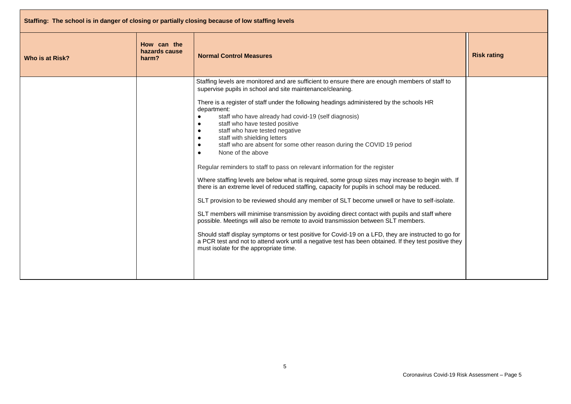| Staffing: The school is in danger of closing or partially closing because of low staffing levels |                                       |                                                                                                                                                                                                                                                                                                                                                                                                                                                                                                                                                                                                                                                                                                                                                                                                                                                                                                                                                                                                                                                                                                                                                                                                                                                                                                                                                                                                                                                     |                    |
|--------------------------------------------------------------------------------------------------|---------------------------------------|-----------------------------------------------------------------------------------------------------------------------------------------------------------------------------------------------------------------------------------------------------------------------------------------------------------------------------------------------------------------------------------------------------------------------------------------------------------------------------------------------------------------------------------------------------------------------------------------------------------------------------------------------------------------------------------------------------------------------------------------------------------------------------------------------------------------------------------------------------------------------------------------------------------------------------------------------------------------------------------------------------------------------------------------------------------------------------------------------------------------------------------------------------------------------------------------------------------------------------------------------------------------------------------------------------------------------------------------------------------------------------------------------------------------------------------------------------|--------------------|
| Who is at Risk?                                                                                  | How can the<br>hazards cause<br>harm? | <b>Normal Control Measures</b>                                                                                                                                                                                                                                                                                                                                                                                                                                                                                                                                                                                                                                                                                                                                                                                                                                                                                                                                                                                                                                                                                                                                                                                                                                                                                                                                                                                                                      | <b>Risk rating</b> |
|                                                                                                  |                                       | Staffing levels are monitored and are sufficient to ensure there are enough members of staff to<br>supervise pupils in school and site maintenance/cleaning.<br>There is a register of staff under the following headings administered by the schools HR<br>department:<br>staff who have already had covid-19 (self diagnosis)<br>$\bullet$<br>staff who have tested positive<br>$\bullet$<br>staff who have tested negative<br>$\bullet$<br>staff with shielding letters<br>$\bullet$<br>staff who are absent for some other reason during the COVID 19 period<br>$\bullet$<br>None of the above<br>$\bullet$<br>Regular reminders to staff to pass on relevant information for the register<br>Where staffing levels are below what is required, some group sizes may increase to begin with. If<br>there is an extreme level of reduced staffing, capacity for pupils in school may be reduced.<br>SLT provision to be reviewed should any member of SLT become unwell or have to self-isolate.<br>SLT members will minimise transmission by avoiding direct contact with pupils and staff where<br>possible. Meetings will also be remote to avoid transmission between SLT members.<br>Should staff display symptoms or test positive for Covid-19 on a LFD, they are instructed to go for<br>a PCR test and not to attend work until a negative test has been obtained. If they test positive they<br>must isolate for the appropriate time. |                    |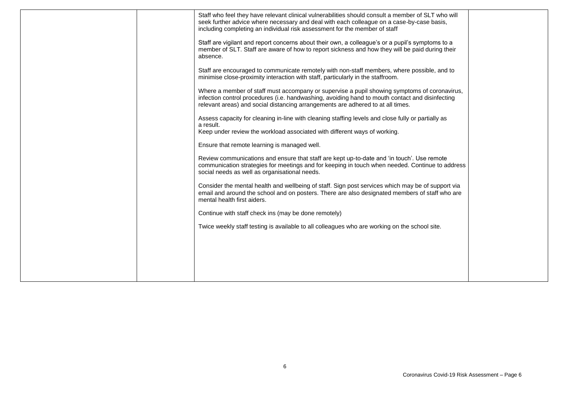|  | Staff who feel they have relevant clinical vulnerabilities should consult a member of SLT who will<br>seek further advice where necessary and deal with each colleague on a case-by-case basis,<br>including completing an individual risk assessment for the member of staff      |  |
|--|------------------------------------------------------------------------------------------------------------------------------------------------------------------------------------------------------------------------------------------------------------------------------------|--|
|  | Staff are vigilant and report concerns about their own, a colleague's or a pupil's symptoms to a<br>member of SLT. Staff are aware of how to report sickness and how they will be paid during their<br>absence.                                                                    |  |
|  | Staff are encouraged to communicate remotely with non-staff members, where possible, and to<br>minimise close-proximity interaction with staff, particularly in the staffroom.                                                                                                     |  |
|  | Where a member of staff must accompany or supervise a pupil showing symptoms of coronavirus,<br>infection control procedures (i.e. handwashing, avoiding hand to mouth contact and disinfecting<br>relevant areas) and social distancing arrangements are adhered to at all times. |  |
|  | Assess capacity for cleaning in-line with cleaning staffing levels and close fully or partially as<br>a result.<br>Keep under review the workload associated with different ways of working.                                                                                       |  |
|  | Ensure that remote learning is managed well.                                                                                                                                                                                                                                       |  |
|  | Review communications and ensure that staff are kept up-to-date and 'in touch'. Use remote<br>communication strategies for meetings and for keeping in touch when needed. Continue to address<br>social needs as well as organisational needs.                                     |  |
|  | Consider the mental health and wellbeing of staff. Sign post services which may be of support via<br>email and around the school and on posters. There are also designated members of staff who are<br>mental health first aiders.                                                 |  |
|  | Continue with staff check ins (may be done remotely)                                                                                                                                                                                                                               |  |
|  | Twice weekly staff testing is available to all colleagues who are working on the school site.                                                                                                                                                                                      |  |
|  |                                                                                                                                                                                                                                                                                    |  |
|  |                                                                                                                                                                                                                                                                                    |  |
|  |                                                                                                                                                                                                                                                                                    |  |
|  |                                                                                                                                                                                                                                                                                    |  |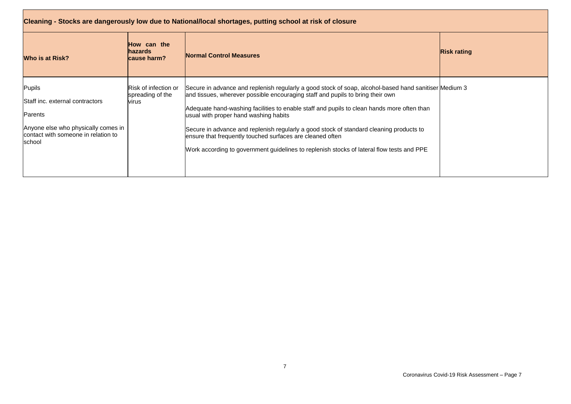| Cleaning - Stocks are dangerously low due to National/local shortages, putting school at risk of closure                                     |                                                   |                                                                                                                                                                                                                                                                                                                                                                                                                                                                                                                                                                                     |                    |  |
|----------------------------------------------------------------------------------------------------------------------------------------------|---------------------------------------------------|-------------------------------------------------------------------------------------------------------------------------------------------------------------------------------------------------------------------------------------------------------------------------------------------------------------------------------------------------------------------------------------------------------------------------------------------------------------------------------------------------------------------------------------------------------------------------------------|--------------------|--|
| <b>Who is at Risk?</b>                                                                                                                       | How can the<br><b>hazards</b><br>cause harm?      | Normal Control Measures                                                                                                                                                                                                                                                                                                                                                                                                                                                                                                                                                             | <b>Risk rating</b> |  |
| Pupils<br>Staff inc. external contractors<br>Parents<br>Anyone else who physically comes in<br>contact with someone in relation to<br>school | Risk of infection or<br>spreading of the<br>virus | Secure in advance and replenish regularly a good stock of soap, alcohol-based hand sanitiser Medium 3<br>and tissues, wherever possible encouraging staff and pupils to bring their own<br>Adequate hand-washing facilities to enable staff and pupils to clean hands more often than<br>usual with proper hand washing habits<br>Secure in advance and replenish regularly a good stock of standard cleaning products to<br>ensure that frequently touched surfaces are cleaned often<br>Work according to government guidelines to replenish stocks of lateral flow tests and PPE |                    |  |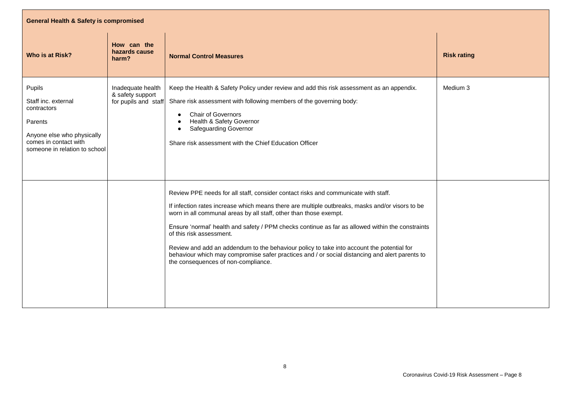| <b>General Health &amp; Safety is compromised</b>                                                                                               |                                                               |                                                                                                                                                                                                                                                                                                                                                                                                                                                                                                                                                                                                                                  |                    |  |  |
|-------------------------------------------------------------------------------------------------------------------------------------------------|---------------------------------------------------------------|----------------------------------------------------------------------------------------------------------------------------------------------------------------------------------------------------------------------------------------------------------------------------------------------------------------------------------------------------------------------------------------------------------------------------------------------------------------------------------------------------------------------------------------------------------------------------------------------------------------------------------|--------------------|--|--|
| Who is at Risk?                                                                                                                                 | How can the<br>hazards cause<br>harm?                         | <b>Normal Control Measures</b>                                                                                                                                                                                                                                                                                                                                                                                                                                                                                                                                                                                                   | <b>Risk rating</b> |  |  |
| Pupils<br>Staff inc. external<br>contractors<br>Parents<br>Anyone else who physically<br>comes in contact with<br>someone in relation to school | Inadequate health<br>& safety support<br>for pupils and staff | Keep the Health & Safety Policy under review and add this risk assessment as an appendix.<br>Share risk assessment with following members of the governing body:<br><b>Chair of Governors</b><br>Health & Safety Governor<br><b>Safeguarding Governor</b><br>Share risk assessment with the Chief Education Officer                                                                                                                                                                                                                                                                                                              | Medium 3           |  |  |
|                                                                                                                                                 |                                                               | Review PPE needs for all staff, consider contact risks and communicate with staff.<br>If infection rates increase which means there are multiple outbreaks, masks and/or visors to be<br>worn in all communal areas by all staff, other than those exempt.<br>Ensure 'normal' health and safety / PPM checks continue as far as allowed within the constraints<br>of this risk assessment.<br>Review and add an addendum to the behaviour policy to take into account the potential for<br>behaviour which may compromise safer practices and / or social distancing and alert parents to<br>the consequences of non-compliance. |                    |  |  |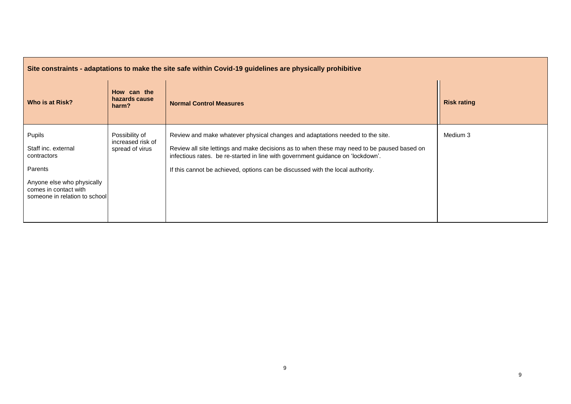| Site constraints - adaptations to make the site safe within Covid-19 guidelines are physically prohibitive                                      |                                                        |                                                                                                                                                                                                                                                                                                                                                   |                    |  |
|-------------------------------------------------------------------------------------------------------------------------------------------------|--------------------------------------------------------|---------------------------------------------------------------------------------------------------------------------------------------------------------------------------------------------------------------------------------------------------------------------------------------------------------------------------------------------------|--------------------|--|
| Who is at Risk?                                                                                                                                 | How can the<br>hazards cause<br>harm?                  | <b>Normal Control Measures</b>                                                                                                                                                                                                                                                                                                                    | <b>Risk rating</b> |  |
| Pupils<br>Staff inc. external<br>contractors<br>Parents<br>Anyone else who physically<br>comes in contact with<br>someone in relation to school | Possibility of<br>increased risk of<br>spread of virus | Review and make whatever physical changes and adaptations needed to the site.<br>Review all site lettings and make decisions as to when these may need to be paused based on<br>infectious rates. be re-started in line with government guidance on 'lockdown'.<br>If this cannot be achieved, options can be discussed with the local authority. | Medium 3           |  |